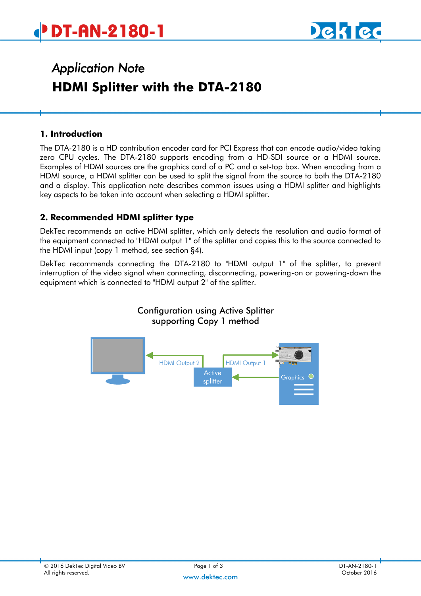

# *Application Note*  **HDMI Splitter with the DTA-2180**

#### **1. Introduction**

The DTA-2180 is a HD contribution encoder card for PCI Express that can encode audio/video taking zero CPU cycles. The DTA-2180 supports encoding from a HD-SDI source or a HDMI source. Examples of HDMI sources are the graphics card of a PC and a set-top box. When encoding from a HDMI source, a HDMI splitter can be used to split the signal from the source to both the DTA-2180 and a display. This application note describes common issues using a HDMI splitter and highlights key aspects to be taken into account when selecting a HDMI splitter.

### **2. Recommended HDMI splitter type**

DekTec recommends an active HDMI splitter, which only detects the resolution and audio format of the equipment connected to "HDMI output 1" of the splitter and copies this to the source connected to the HDMI input (copy 1 method, see section §4).

DekTec recommends connecting the DTA-2180 to "HDMI output 1" of the splitter, to prevent interruption of the video signal when connecting, disconnecting, powering-on or powering-down the equipment which is connected to "HDMI output 2" of the splitter.



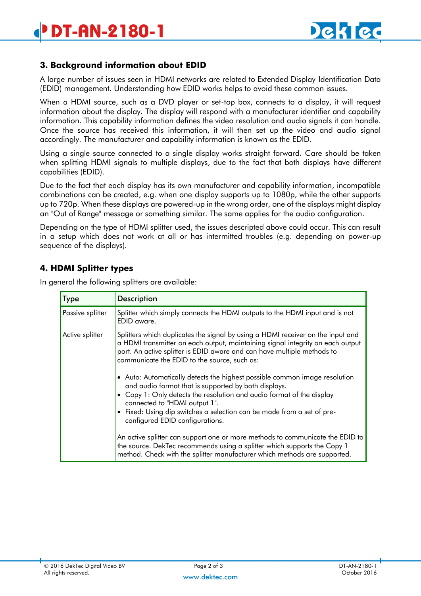### **3. Background information about EDID**

A large number of issues seen in HDMI networks are related to Extended Display Identification Data (EDID) management. Understanding how EDID works helps to avoid these common issues.

When a HDMI source, such as a DVD player or set-top box, connects to a display, it will request information about the display. The display will respond with a manufacturer identifier and capability information. This capability information defines the video resolution and audio signals it can handle. Once the source has received this information, it will then set up the video and audio signal accordingly. The manufacturer and capability information is known as the EDID.

Using a single source connected to a single display works straight forward. Care should be taken when splitting HDMI signals to multiple displays, due to the fact that both displays have different capabilities (EDID).

Due to the fact that each display has its own manufacturer and capability information, incompatible combinations can be created, e.g. when one display supports up to 1080p, while the other supports up to 720p. When these displays are powered-up in the wrong order, one of the displays might display an "Out of Range" message or something similar. The same applies for the audio configuration.

Depending on the type of HDMI splitter used, the issues descripted above could occur. This can result in a setup which does not work at all or has intermitted troubles (e.g. depending on power-up sequence of the displays).

### **4. HDMI Splitter types**

| Type             | <b>Description</b>                                                                                                                                                                                                                                                                                                                                        |  |
|------------------|-----------------------------------------------------------------------------------------------------------------------------------------------------------------------------------------------------------------------------------------------------------------------------------------------------------------------------------------------------------|--|
| Passive splitter | Splitter which simply connects the HDMI outputs to the HDMI input and is not<br>EDID aware.                                                                                                                                                                                                                                                               |  |
| Active splitter  | Splitters which duplicates the signal by using a HDMI receiver on the input and<br>a HDMI transmitter on each output, maintaining signal integrity on each output<br>port. An active splitter is EDID aware and can have multiple methods to<br>communicate the EDID to the source, such as:                                                              |  |
|                  | • Auto: Automatically detects the highest possible common image resolution<br>and audio format that is supported by both displays.<br>• Copy 1: Only detects the resolution and audio format of the display<br>connected to "HDMI output 1".<br>• Fixed: Using dip switches a selection can be made from a set of pre-<br>configured EDID configurations. |  |
|                  | An active splitter can support one or more methods to communicate the EDID to<br>the source. DekTec recommends using a splitter which supports the Copy 1<br>method. Check with the splitter manufacturer which methods are supported.                                                                                                                    |  |

In general the following splitters are available: